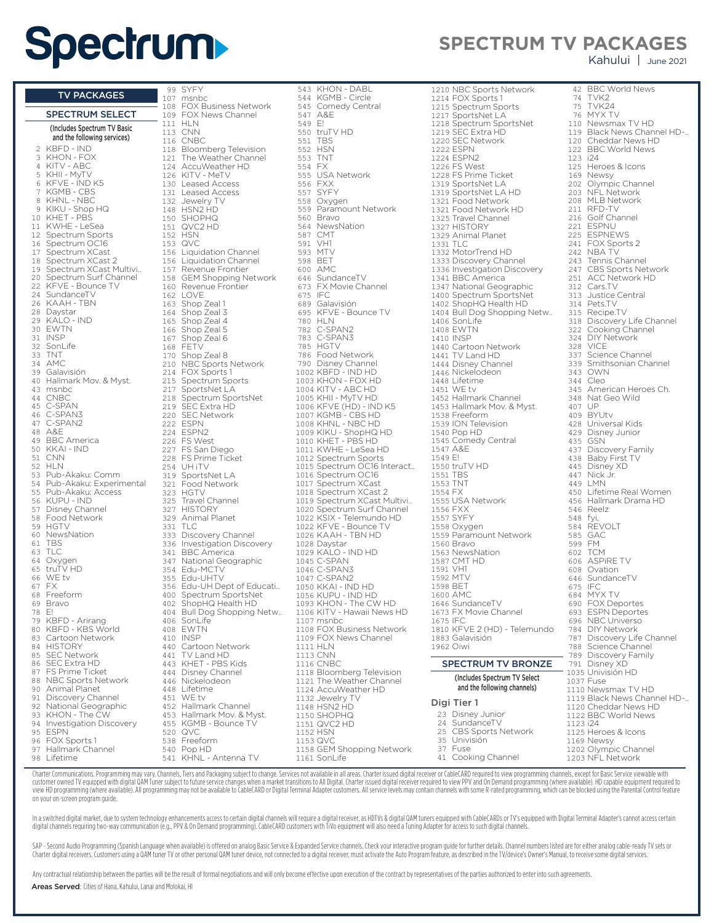## **Spectrum**

**SPECTRUM TV PACKAGES**

Kahului | June 2021

**BBC World News** 

|                          |                                            | 99         | <b>SYFY</b>                                    |
|--------------------------|--------------------------------------------|------------|------------------------------------------------|
|                          | <b>TV PACKAGES</b>                         | 107        | msnbc<br><b>FOX Business Netw</b>              |
|                          | <b>SPECTRUM SELECT</b>                     | 108        | 109 FOX News Channel                           |
|                          | (Includes Spectrum TV Basic                | 111        | HLN                                            |
|                          | and the following services)                | 113        | <b>CNN</b>                                     |
| 2                        | KBFD - IND                                 | 116<br>118 | CNBC<br><b>Bloomberg Televisic</b>             |
| 3                        | KHON - FOX                                 | 121        | The Weather Chann                              |
| 4                        | KITV - ABC                                 |            | 124 AccuWeather HD                             |
| 5<br>6                   | KHII - MyTV<br>KFVE - IND K5               |            | 126 KITV - MeTV<br>130 Leased Access           |
| $\overline{\phantom{a}}$ | KGMB - CBS                                 |            | 131 Leased Access                              |
| 8                        | KHNL - NBC                                 | 132        | Jewelry TV                                     |
| 9                        | KIKU - Shop HQ<br>KHET - PBS               |            | 148 HSN2 HD                                    |
| 10<br>11                 | KWHE - LeSea                               | 150<br>151 | <b>SHOPHQ</b><br>QVC2 HD                       |
| 12                       | Spectrum Sports                            |            | 152 HSN                                        |
| 16                       | Spectrum OC16                              | 153        | QVC                                            |
| 17<br>18                 | Spectrum XCast<br>Spectrum XCast 2         | 156        | Liquidation Channel<br>156 Liquidation Channel |
| 19                       | Spectrum XCast Multivi                     |            | 157 Revenue Frontier                           |
| 20                       | Spectrum Surf Channel                      |            | 158 GEM Shopping Nety                          |
| 22<br>24                 | KFVE - Bounce TV                           |            | 160 Revenue Frontier                           |
| 26                       | SundanceTV<br>KAAH - TBN                   | 162<br>163 | <b>LOVE</b><br>Shop Zeal 1                     |
| 28                       | Daystar                                    | 164        | Shop Zeal 3                                    |
| 29                       | KALO - IND                                 | 165        | Shop Zeal 4                                    |
| 30<br>31                 | EWTN<br><b>INSP</b>                        | 166<br>167 | Shop Zeal 5<br>Shop Zeal 6                     |
| 32                       | SonLife                                    |            | 168 FETV                                       |
| 33                       | <b>TNT</b>                                 | 170        | Shop Zeal 8                                    |
| 34                       | AMC<br>Galavisión                          |            | 210 NBC Sports Networ                          |
| 39<br>40                 | Hallmark Mov. & Myst.                      | 215        | 214 FOX Sports 1<br>Spectrum Sports            |
| 43                       | msnbc                                      | 217        | SportsNet LA                                   |
| 44                       | <b>CNBC</b>                                | 218        | Spectrum SportsNe                              |
| 45<br>46                 | C-SPAN<br>C-SPAN3                          | 219<br>220 | SEC Extra HD<br><b>SEC Network</b>             |
| 47                       | C-SPAN2                                    |            | 222 ESPN                                       |
| 48                       | A&E                                        |            | 224 ESPN2                                      |
| 49<br>50                 | <b>BBC</b> America<br>KKAI - IND           |            | 226 FS West<br>227 FS San Diego                |
| 51                       | CNN                                        |            | 228 FS Prime Ticket                            |
| 52                       | HLN                                        | 254        | UH iTV                                         |
| 53<br>54                 | Pub-Akaku: Comm<br>Pub-Akaku: Experimental | 319<br>321 | SportsNet LA                                   |
| 55                       | Pub-Akaku: Access                          | 323        | Food Network<br>HGTV                           |
| 56                       | KUPU - IND                                 | 325        | <b>Travel Channel</b>                          |
| 57<br>58                 | Disney Channel<br>Food Network             | 327<br>329 | <b>HISTORY</b><br>Animal Planet                |
| 59                       | <b>HGTV</b>                                | 331        | <b>TLC</b>                                     |
| 60                       | NewsNation                                 |            | 333 Discovery Channel                          |
| 61                       | <b>TBS</b>                                 |            | 336 Investigation Discov                       |
| 63<br>64                 | TLC<br>Oxygen                              |            | 341 BBC America<br>347 National Geographi      |
| 65                       | truTV HD                                   |            | 354 Edu-MCTV                                   |
| 66                       | WE tv                                      |            | 355 Edu-UHTV                                   |
| 67<br>68                 | FX<br>Freeform                             | 400        | 356 Edu-UH Dept of Edu<br>Spectrum SportsNe    |
| 69                       | Bravo                                      | 402        | ShopHQ Health HD                               |
| 78                       | E!                                         | 404        | <b>Bull Dog Shopping I</b>                     |
| 79<br>80                 | KBFD - Arirang<br>KBFD - KBS World         | 406        | SonLife<br>408 EWTN                            |
| 83                       | Cartoon Network                            |            | 410 INSP                                       |
| 84                       | <b>HISTORY</b>                             | 440        | Cartoon Network                                |
| 85<br>86                 | <b>SEC Network</b><br><b>SEC Extra HD</b>  | 441<br>443 | TV Land HD<br>KHET - PBS Kids                  |
| 87                       | FS Prime Ticket                            | 444        | Disney Channel                                 |
| 88                       | NBC Sports Network                         |            | 446 Nickelodeon                                |
| 90                       | Animal Planet                              | 448        | Lifetime                                       |
| 91<br>92                 | Discovery Channel<br>National Geographic   | 451<br>452 | WE tv<br>Hallmark Channel                      |
| 93                       | KHON - The CW                              | 453        | Hallmark Mov. & Mys                            |
| 94                       | Investigation Discovery                    |            | 455 KGMB - Bounce TV                           |
| 95<br>96                 | <b>ESPN</b><br>FOX Sports 1                | 520<br>538 | <b>QVC</b><br>Freeform                         |
| 97                       | Hallmark Channel                           | 540        | Pop HD                                         |
| 98                       | Lifetime                                   | 541        | KHNL - Antenna TV                              |
|                          |                                            |            |                                                |

 SYFY nsnbc FOX Business Network FOX News Channel HLN  $2N<sub>N</sub>$  CNBC 118 Bloomberg Television The Weather Channel **AccuWeather HD**  $(17V - METV)$  Leased Access 131 Leased Access -casea / lec<br>lewelry TV HSN2 HD  $SHOPHQ$  QVC2 HD .....<br>م/ر iquidation Channel iquidation Channel Revenue Frontier tevenae Frontier<br>5EM Shopping Network . . . . . . . . . . . . . . . .<br>Revenue Frontier **OVE** shop Zeal 1 Shop Zeal 3 Shop Zeal 4 166 Shop Zeal 5 shop Zeal 6 **ETV**  $\frac{1}{2}$ hop Zeal 8 NBC Sports Network 214 FOX Sports 1 Spectrum Sports .<br>2017 SportsNet LA Spectrum SportsNet 219 SEC Extra HD SEC Network ESPN ESPN2 FS West FS San Diego 228 FS Prime Ticket UH iTV . . . . . .<br>SportsNet LA **Food Network**  HGTV Travel Channel HISTORY ns rort.<br>Animal Planet  $LC$ Discovery Channel nvestigation Discovery **BBC America** .<br>National Geographic Edu-MCTV -ac<br>Edu-UHTV du-UH Dept of Educati... taa ombept on Eaac<br>Spectrum SportsNet ShopHQ Health HD 3ull Dog Shopping Netw.. 406 SonLife EWTN -...<br>NSP Cartoon Network V Land HD 443 KHET - PBS Kids Disney Channel <sub>215Hey</sub> enam<br>Nickelodeon ifetime. VE tv Hallmark Channel 453 Hallmark Mov. & Myst. KGMB - Bounce TV QVC Freeform

543 KHON - DABL KGMB - Circle Comedy Central A&E E! 550 truTV HD TBS HSN TNT FX USA Network FXX SYFY 558 Oxygen<br>559 Paramo 559 Paramount Network<br>560 Bravo 560 Bravo<br>564 Newsh 564 NewsNation<br>587 CMT 587 CMT<br>591 VH1 ----<br>593 MTV<br>593 MTV **MTV** 598 BET 600 AMC<br>646 Sunc 646 SundanceTV<br>673 FX Movie Ch ond Darramen<br>673 FX Movie Channel<br>675 IFC 675 IFC<br>689 Gala Galavisión 695 KFVE - Bounce TV<br>780 HLN HLN C-SPAN2 C-SPAN3 785 HGTV<br>786 Food N Food Network 790 Disney Channel KBFD - IND HD KHON - FOX HD KITV - ABC HD 1005 KHII - MyTV HD 1006 KFVE (HD) - IND K5 KGMB - CBS HD KHNL - NBC HD KIKU - ShopHQ HD 1010 KHET - PBS HD KWHE - LeSea HD Spectrum Sports Spectrum OC16 Interact.. Spectrum OC16 Spectrum XCast Spectrum XCast 2 Spectrum XCast Multivi.. Spectrum Surf Channel KSIX - Telemundo HD 1022 KFVE - Bounce TV KAAH - TBN HD Daystar KALO - IND HD C-SPAN C-SPAN3 C-SPAN2 KKAI - IND HD 1056 KUPU - IND HD KHON - The CW HD KITV - Hawaii News HD msnbc FOX Business Network 1109 FOX News Channel HLN CNN CNBC Bloomberg Television 1121 The Weather Channel AccuWeather HD Jewelry TV HSN2 HD SHOPHQ 1151 QVC2 HD HSN QVC GEM Shopping Network

| 1210 NBC Sports Network                      | 42       | <b>BBC World News</b>                  |
|----------------------------------------------|----------|----------------------------------------|
| 1214 FOX Sports 1                            | 74       | TVK <sub>2</sub>                       |
| 1215 Spectrum Sports                         | 75       | TVK24<br>76 MYX TV                     |
| 1217 SportsNet LA<br>1218 Spectrum SportsNet |          | 110 Newsmax TV HD                      |
| 1219 SEC Extra HD                            |          | 119 Black News Chani                   |
| 1220 SEC Network                             |          | 120 Cheddar News HD                    |
| 1222 ESPN                                    |          | 122 BBC World News                     |
| 1224 ESPN2                                   | 123 i24  |                                        |
| 1226 FS West                                 |          | 125 Heroes & Icons                     |
| 1228 FS Prime Ticket                         |          | 169 Newsy                              |
| 1319 SportsNet LA                            |          | 202 Olympic Channel                    |
| 1319 SportsNet LA HD                         |          | 203 NFL Network                        |
| 1321 Food Network                            |          | 208 MLB Network                        |
| 1321 Food Network HD                         |          | 211 RFD-TV                             |
| 1325 Travel Channel                          |          | 216 Golf Channel                       |
| 1327 HISTORY                                 |          | 221 ESPNU                              |
| 1329 Animal Planet                           |          | 225 ESPNEWS                            |
| 1331 TLC                                     |          | 241 FOX Sports 2                       |
| 1332 MotorTrend HD                           |          | 242 NBA TV                             |
| 1333 Discovery Channel                       | 243      | Tennis Channel                         |
| 1336 Investigation Discovery                 |          | 247 CBS Sports Netw                    |
| 1341 BBC America                             | 251      | <b>ACC Network HD</b>                  |
| 1347 National Geographic                     |          | 312 Cars.TV                            |
| 1400 Spectrum SportsNet                      |          | 313 Justice Central                    |
| 1402 ShopHQ Health HD                        |          | 314 Pets.TV                            |
| 1404 Bull Dog Shopping Netw<br>1406 SonLife  |          | 315 Recipe.TV<br>318 Discovery Life Ch |
| 1408 EWTN                                    |          | 322 Cooking Channel                    |
| 1410 INSP                                    |          | 324 DIY Network                        |
| 1440 Cartoon Network                         |          | 328 VICE                               |
| 1441 TV Land HD                              | 337      | Science Channel                        |
| 1444 Disney Channel                          |          | 339 Smithsonian Char                   |
| 1446 Nickelodeon                             |          | 343 OWN                                |
| 1448 Lifetime                                |          | 344 Cleo                               |
| 1451 WE tv                                   |          | 345 American Heroes                    |
| 1452 Hallmark Channel                        | 348      | Nat Geo Wild                           |
| 1453 Hallmark Mov. & Myst.                   | 407 UP   |                                        |
| 1538 Freeform                                |          | 409 BYUtv                              |
| 1539 ION Television                          |          | 428 Universal Kids                     |
| 1540 Pop HD<br>1545 Comedy Central           |          | 429 Disney Junior<br>435 GSN           |
| 1547 A&E                                     |          | 437 Discovery Family                   |
| 1549 E!                                      |          | 438 Baby First TV                      |
| 1550 truTV HD                                |          | 445 Disney XD                          |
| 1551 TBS                                     |          | 447 Nick Jr.                           |
| 1553 TNT                                     |          | 449 LMN                                |
| 1554 FX                                      |          | 450 Lifetime Real Wor                  |
| 1555 USA Network                             |          | 456 Hallmark Drama H                   |
| 1556 FXX                                     |          | 546 Reelz                              |
| 1557 SYFY                                    | 548 fyi, |                                        |
| 1558 Oxygen                                  |          | 584 REVOLT                             |
| 1559 Paramount Network<br>1560 Bravo         | 599      | 585 GAC                                |
| 1563 NewsNation                              |          | FМ<br>602 TCM                          |
| 1587 CMT HD                                  |          | 606 ASPIRE TV                          |
| 1591 VH1                                     |          | 608 Ovation                            |
| 1592 MTV                                     |          | 646 SundanceTV                         |
| 1598 BET                                     | 675 IFC  |                                        |
| 1600 AMC                                     |          | 684 MYX TV                             |
| 1646 SundanceTV                              |          | 690 FOX Deportes                       |
| 1673 FX Movie Channel                        |          | 693 ESPN Deportes                      |
| 1675 IFC                                     |          | 696 NBC Universo                       |
| 1810 KFVE 2 (HD) - Telemundo                 |          | 784 DIY Network                        |
| 1883 Galavisión                              | 787      | Discovery Life Ch                      |
| 1962 Oiwi                                    |          | 788 Science Channel                    |
|                                              |          | 789 Discovery Family                   |
| <b>SPECTRUM TV BRONZE</b>                    |          | 791 Disney XD<br>1035 Univisión HD     |
| (Includes Spectrum TV Select                 |          | 1037 Fuse                              |
| and the following channels)                  |          | 1110 Newsmax TV HD                     |
|                                              |          | 1119 Black News Chan                   |
| Digi Tier 1                                  |          | 1120 Cheddar News HI                   |
| 23<br>Disney Junior                          |          | 1122 BBC World News                    |
| 24<br>SundanceTV                             | 1123 i24 |                                        |
| 25<br><b>CBS Sports Network</b>              |          | 1125 Heroes & Icons                    |
| 35<br>Univisión                              |          | 1169 Newsy                             |

 $TVIZ2$ **TVK24** MYX TV Newsmax TV HD Black News Channel HD-.. Cheddar News HD **BBC World News** i24 Heroes & Icons Newsy Olympic Channel 203 NFL Network MLB Network RFD-TV Golf Channel **ESPNU** ESPNEWS FOX Sports 2 **NBA TV**  Tennis Channel 247 CBS Sports Network ACC Network HD Cars.TV Justice Central Pets.TV Recipe.TV Discovery Life Channel Cooking Channel DIY Network VICE Science Channel Smithsonian Channel  $\overline{\text{OWN}}$ Cleo American Heroes Ch. Nat Geo Wild<br>UP UP 409 BYUtv Universal Kids Disney Junior GSN Discovery Family Baby First TV Disney XD Nick Jr. LMN Lifetime Real Women Hallmark Drama HD **Reelz** fyi REVOLT GAC 599 FM TCM **ASPIRE TV** Ovation SundanceTV  $IFC$ MYX TV FOX Deportes **ESPN Deportes NBC Universo** DIY Network Discovery Life Channel **Siscovery Elite Channel** Discovery Family Disney XD Univisión HD 1037 Fuse 0 Newsmax TV HD 9 Black News Channel HD-.. 0 Cheddar News HD

| 23 Disney Junior      | 1122 BBC World News  |
|-----------------------|----------------------|
| 24 SundanceTV         | 1123 124             |
| 25 CBS Sports Network | 1125 Heroes & Icons  |
| 35 Univisión          | 1169 Newsv           |
| 37 Fuse               | 1202 Olympic Channel |
| 41 Cooking Channel    | 1203 NFL Network     |
|                       |                      |

Charter Communications. Programming may vary. Channels, Tiers and Packaging subject to change. Services not available in all areas. Charter issued digital receiver or CableCARD required to view programming channels, except view HD programming (where available). All programming may not be available to CableCARD or Digital Terminal Adapter customers. All service levels may contain channels with some R-rated programming, which can be blocked us on your on-screen program guide.

In a switched digital market, due to system technology enhancements access to certain digital channels will require a digital receiver, as HDTVs & digital QAM tuners equipped with CableCARDs or TV's equipped with Digital T digital channels requiring two-way communication (e.g., PPV & On Demand programming). CableCARD customers with TiVo equipment will also need a Tuning Adapter for access to such digital channels.

SAP - Second Audio Programming (Spanish Language when available) is offered on analog Basic Service & Expanded Service channels. Check your interactive program guide for further details. Channel numbers listed are for eith Charter digital receivers. Customers using a QAM tuner TV or other personal QAM tuner device, not connected to a digital receiver, must activate the Auto Program feature, as described in the TV/device's Owner's Manual, to

Any contractual relationship between the parties will be the result of formal negotiations and will only become effective upon execution of the contract by representatives of the parties authorized to enter into such agree Areas Served: Cities of Hana, Kahului, Lanai and Molokai, HI

SonLife